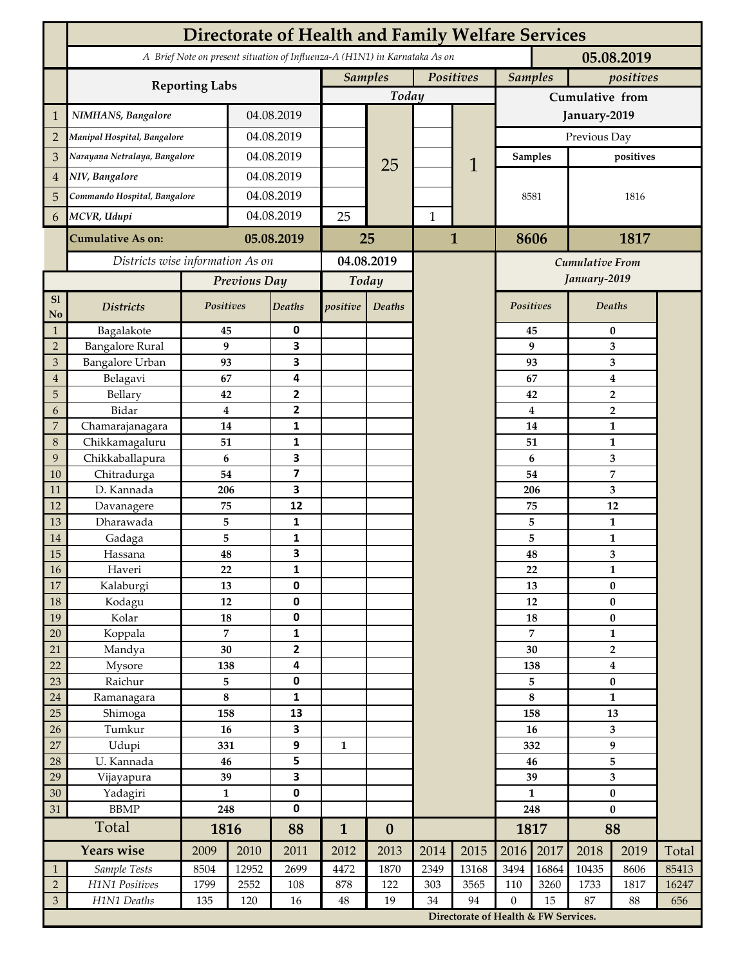|                     | Directorate of Health and Family Welfare Services                                        |                      |              |                                |              |                             |              |                                      |                             |                         |                           |              |       |  |
|---------------------|------------------------------------------------------------------------------------------|----------------------|--------------|--------------------------------|--------------|-----------------------------|--------------|--------------------------------------|-----------------------------|-------------------------|---------------------------|--------------|-------|--|
|                     | A Brief Note on present situation of Influenza-A (H1N1) in Karnataka As on<br>05.08.2019 |                      |              |                                |              |                             |              |                                      |                             |                         |                           |              |       |  |
|                     |                                                                                          |                      |              |                                |              | <b>Samples</b><br>Positives |              |                                      | <b>Samples</b><br>positives |                         |                           |              |       |  |
|                     | <b>Reporting Labs</b>                                                                    |                      |              |                                | Today        |                             |              |                                      | Cumulative from             |                         |                           |              |       |  |
| 1                   | NIMHANS, Bangalore                                                                       | 04.08.2019           |              |                                |              |                             |              | January-2019                         |                             |                         |                           |              |       |  |
| $\overline{2}$      | Manipal Hospital, Bangalore                                                              |                      |              | 04.08.2019                     |              |                             |              |                                      | Previous Day                |                         |                           |              |       |  |
| 3                   | Narayana Netralaya, Bangalore                                                            |                      |              | 04.08.2019                     |              |                             |              |                                      | <b>Samples</b>              |                         | positives                 |              |       |  |
| $\overline{4}$      | NIV, Bangalore                                                                           |                      |              | 04.08.2019                     |              | 25                          |              | 1                                    |                             |                         |                           |              |       |  |
| 5                   | Commando Hospital, Bangalore                                                             |                      | 04.08.2019   |                                |              |                             |              |                                      | 8581<br>8606                |                         | 1816<br>1817              |              |       |  |
| 6                   | MCVR, Udupi                                                                              |                      | 04.08.2019   |                                | 25           |                             | $\mathbf{1}$ |                                      |                             |                         |                           |              |       |  |
|                     | <b>Cumulative As on:</b>                                                                 | 05.08.2019           |              |                                |              |                             | $\mathbf{1}$ |                                      |                             |                         |                           |              |       |  |
|                     |                                                                                          |                      |              | 25                             |              |                             |              |                                      |                             |                         |                           |              |       |  |
|                     | Districts wise information As on                                                         |                      |              | 04.08.2019                     |              |                             |              | <b>Cumulative From</b>               |                             |                         |                           |              |       |  |
|                     |                                                                                          |                      | Previous Day |                                | Today        |                             |              |                                      | January-2019                |                         |                           |              |       |  |
| S1<br>No            | <b>Districts</b>                                                                         | Positives            |              | <b>Deaths</b>                  | positive     | Deaths                      |              |                                      |                             | Positives               |                           | Deaths       |       |  |
| $\mathbf{1}$        | Bagalakote                                                                               | 45                   |              | 0                              |              |                             |              |                                      |                             | 45                      | $\pmb{0}$                 |              |       |  |
| $\overline{2}$      | <b>Bangalore Rural</b>                                                                   |                      | 9            | 3                              |              |                             |              |                                      | 9                           |                         | 3                         |              |       |  |
| 3<br>$\overline{4}$ | Bangalore Urban<br>Belagavi                                                              | 93<br>67             |              | 3<br>4                         |              |                             |              |                                      |                             | 93<br>67                | 3<br>4                    |              |       |  |
| 5                   | Bellary                                                                                  | 42                   |              | $\mathbf{2}$                   |              |                             |              |                                      |                             | 42                      | $\mathbf 2$               |              |       |  |
| 6                   | Bidar                                                                                    |                      | $\bf{4}$     | $\mathbf{2}$                   |              |                             |              |                                      |                             | $\overline{\mathbf{4}}$ | $\overline{2}$            |              |       |  |
| $\overline{7}$      | Chamarajanagara                                                                          | 14                   |              | $\mathbf{1}$                   |              |                             |              |                                      | 14                          |                         | $\mathbf{1}$              |              |       |  |
| 8                   | Chikkamagaluru                                                                           | 51                   |              | $\mathbf{1}$                   |              |                             |              |                                      |                             | 51                      |                           | 1            |       |  |
| 9                   | Chikkaballapura                                                                          |                      | 6            | 3                              |              |                             |              |                                      |                             | 6                       |                           | 3            |       |  |
| 10                  | Chitradurga                                                                              | 54                   |              | $\overline{ }$                 |              |                             |              |                                      |                             | 54                      | 7                         |              |       |  |
| 11<br>12            | D. Kannada<br>Davanagere                                                                 | 206<br>75            |              | 3<br>12                        |              |                             |              |                                      |                             | 206<br>75               | 3<br>12                   |              |       |  |
| 13                  | Dharawada                                                                                | 5                    |              | $\mathbf{1}$                   |              |                             |              |                                      |                             | 5                       | $\mathbf{1}$              |              |       |  |
| $14\,$              | Gadaga                                                                                   | 5                    |              | 1                              |              |                             |              |                                      | 5                           |                         | $\mathbf{1}$              |              |       |  |
| 15                  | Hassana                                                                                  | 48                   |              | 3                              |              |                             |              |                                      | 48                          |                         | 3                         |              |       |  |
| $16\,$              | Haveri                                                                                   | 22                   |              | 1                              |              |                             |              |                                      |                             | ${\bf 22}$              |                           | $\mathbf{1}$ |       |  |
| 17                  | Kalaburgi                                                                                | 13                   |              | $\mathbf 0$                    |              |                             |              |                                      | 13                          |                         | $\bf{0}$                  |              |       |  |
| $18\,$              | Kodagu                                                                                   | $12\,$               |              | $\pmb{0}$                      |              |                             |              |                                      | $12\,$                      |                         |                           | $\bf{0}$     |       |  |
| 19                  | Kolar                                                                                    | 18<br>$\overline{7}$ |              | $\pmb{0}$                      |              |                             |              |                                      | 18<br>$\overline{7}$        |                         | $\pmb{0}$<br>$\mathbf{1}$ |              |       |  |
| $20\,$<br>21        | Koppala<br>Mandya                                                                        |                      | 30           | $\mathbf{1}$<br>$\overline{2}$ |              |                             |              |                                      | 30                          |                         | $\overline{2}$            |              |       |  |
| 22                  | Mysore                                                                                   | 138                  |              | 4                              |              |                             |              |                                      | 138                         |                         | 4                         |              |       |  |
| 23                  | Raichur                                                                                  | 5                    |              | $\pmb{0}$                      |              |                             |              |                                      | 5                           |                         | $\bf{0}$                  |              |       |  |
| $24\,$              | Ramanagara                                                                               | $\bf 8$              |              | $\mathbf 1$                    |              |                             |              |                                      | $\bf 8$                     |                         | $\mathbf{1}$              |              |       |  |
| 25                  | Shimoga                                                                                  | 158                  |              | 13                             |              |                             |              |                                      | 158                         |                         | 13                        |              |       |  |
| 26                  | Tumkur                                                                                   | 16                   |              | 3                              |              |                             |              |                                      |                             | 16                      | $\overline{\mathbf{3}}$   |              |       |  |
| $27\,$              | Udupi                                                                                    | 331                  |              | $\boldsymbol{9}$               | $\mathbf{1}$ |                             |              |                                      | 332                         |                         | 9                         |              |       |  |
| 28                  | U. Kannada                                                                               | 46                   |              | 5                              |              |                             |              |                                      | 46                          |                         | 5                         |              |       |  |
| 29<br>30            | Vijayapura                                                                               | 39<br>$\mathbf{1}$   |              | 3<br>$\pmb{0}$                 |              |                             |              |                                      | 39<br>$\mathbf{1}$          |                         | 3<br>$\pmb{0}$            |              |       |  |
| 31                  | Yadagiri<br><b>BBMP</b>                                                                  | 248                  |              | $\pmb{0}$                      |              |                             |              |                                      | 248                         |                         | $\bf{0}$                  |              |       |  |
|                     | Total                                                                                    |                      | 1816         |                                | $\mathbf{1}$ | $\boldsymbol{0}$            |              |                                      |                             | 1817                    | 88                        |              |       |  |
|                     | Years wise                                                                               |                      | 2010         | 88<br>2011                     | 2012         | 2013                        | 2014         | 2015                                 | 2016                        | 2017                    | 2018                      | 2019         | Total |  |
| $\mathbf{1}$        | Sample Tests                                                                             | 2009<br>8504         | 12952        | 2699                           | 4472         | 1870                        | 2349         | 13168                                | 3494                        | 16864                   | 10435                     | 8606         | 85413 |  |
| $\sqrt{2}$          | H1N1 Positives                                                                           | 1799                 | 2552         | 108                            | 878          | 122                         | 303          | 3565                                 | 110                         | 3260                    | 1733                      | 1817         | 16247 |  |
| $\mathfrak{Z}$      | H1N1 Deaths                                                                              | 135                  | 120          | 16                             | $48\,$       | 19                          | 34           | 94                                   | $\boldsymbol{0}$            | 15                      | 87                        | 88           | 656   |  |
|                     |                                                                                          |                      |              |                                |              |                             |              | Directorate of Health & FW Services. |                             |                         |                           |              |       |  |